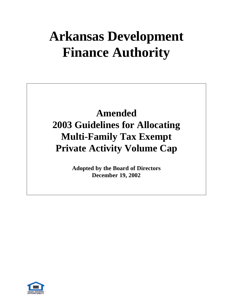# **Arkansas Development Finance Authority**

# **Amended 2003 Guidelines for Allocating Multi-Family Tax Exempt Private Activity Volume Cap**

**Adopted by the Board of Directors December 19, 2002**

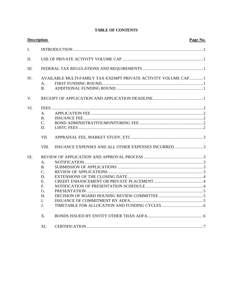#### **TABLE OF CONTENTS**

| <b>Description</b><br>Page No. |                                                                          |                                                                 |  |
|--------------------------------|--------------------------------------------------------------------------|-----------------------------------------------------------------|--|
| $\mathbf{I}$ .                 |                                                                          |                                                                 |  |
| II.                            |                                                                          |                                                                 |  |
| III.                           |                                                                          |                                                                 |  |
| IV.                            | А.<br><b>B.</b>                                                          | AVAILABLE MULTI-FAMILY TAX-EXEMPT PRIVATE ACTIVITY VOLUME CAP 1 |  |
| V.                             |                                                                          |                                                                 |  |
| VI.                            | A.<br><b>B.</b><br>C.<br>D.                                              |                                                                 |  |
|                                | VII.<br>VIII.                                                            |                                                                 |  |
| IX.                            | A.<br><b>B.</b><br>C.<br>D.<br>E.<br>F.<br>G.<br>$H_{\cdot}$<br>L.<br>J. |                                                                 |  |
|                                | X.                                                                       |                                                                 |  |
|                                | XI.                                                                      |                                                                 |  |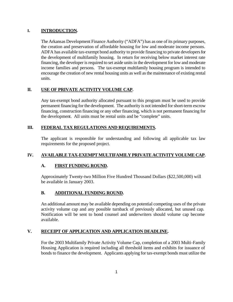#### **I. INTRODUCTION.**

The Arkansas Development Finance Authority ("ADFA") has as one of its primary purposes, the creation and preservation of affordable housing for low and moderate income persons. ADFA has available tax-exempt bond authority to provide financing to private developers for the development of multifamily housing. In return for receiving below market interest rate financing, the developer is required to set aside units in the development for low and moderate income families and persons. The tax-exempt multifamily housing program is intended to encourage the creation of new rental housing units as well as the maintenance of existing rental units.

## **II. USE OF PRIVATE ACTIVITY VOLUME CAP.**

Any tax-exempt bond authority allocated pursuant to this program must be used to provide permanent financing for the development. The authority is not intended for short-term escrow financing, construction financing or any other financing, which is not permanent financing for the development. All units must be rental units and be "complete" units.

#### **III. FEDERAL TAX REGULATIONS AND REQUIREMENTS.**

The applicant is responsible for understanding and following all applicable tax law requirements for the proposed project.

# **IV. AVAILABLE TAX-EXEMPT MULTIFAMILY PRIVATE ACTIVITY VOLUME CAP.**

#### **A. FIRST FUNDING ROUND.**

Approximately Twenty-two Million Five Hundred Thousand Dollars (\$22,500,000) will be available in January 2003.

#### **B. ADDITIONAL FUNDING ROUND.**

An additional amount may be available depending on potential competing uses of the private activity volume cap and any possible turnback of previously allocated, but unused cap. Notification will be sent to bond counsel and underwriters should volume cap become available.

#### **V. RECEIPT OF APPLICATION AND APPLICATION DEADLINE.**

For the 2003 Multifamily Private Activity Volume Cap, completion of a 2003 Multi-Family Housing Application is required including all threshold items and exhibits for issuance of bonds to finance the development. Applicants applying for tax-exempt bonds must utilize the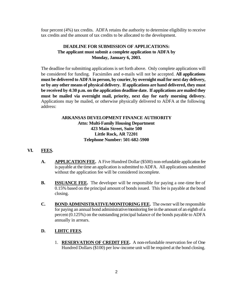four percent (4%) tax credits. ADFA retains the authority to determine eligibility to receive tax credits and the amount of tax credits to be allocated to the development.

#### **DEADLINE FOR SUBMISSION OF APPLICATIONS: The applicant must submit a complete application to ADFA by Monday, January 6, 2003.**

The deadline for submitting applications is set forth above. Only complete applications will be considered for funding. Facsimiles and e-mails will not be accepted. **All applications must be delivered to ADFA in person, by courier, by overnight mail for next day delivery, or by any other means of physical delivery. If applications are hand delivered, they must be received by 4:30 p.m. on the application deadline date. If applications are mailed they must be mailed via overnight mail, priority, next day for early morning delivery.** Applications may be mailed, or otherwise physically delivered to ADFA at the following address:

#### **ARKANSAS DEVELOPMENT FINANCE AUTHORITY Attn: Multi-Family Housing Department 423 Main Street, Suite 500 Little Rock, AR 72201 Telephone Number: 501-682-5900**

#### **VI. FEES.**

- **A. APPLICATION FEE.** A Five Hundred Dollar (\$500) non-refundable application fee is payable at the time an application is submitted to ADFA. All applications submitted without the application fee will be considered incomplete.
- **B. ISSUANCE FEE.** The developer will be responsible for paying a one-time fee of 0.15% based on the principal amount of bonds issued. This fee is payable at the bond closing.
- **C. BOND ADMINISTRATIVE/MONITORING FEE.** The owner will be responsible for paying an annual bond administrative/monitoring fee in the amount of an eighth of a percent (0.125%) on the outstanding principal balance of the bonds payable to ADFA annually in arrears.

#### **D. LIHTC FEES.**

1. **RESERVATION OF CREDIT FEE.** A non-refundable reservation fee of One Hundred Dollars (\$100) per low-income unit will be required at the bond closing.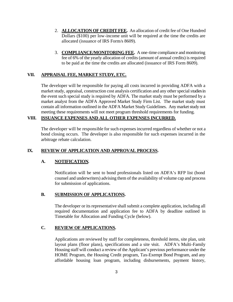- 2. **ALLOCATION OF CREDIT FEE.** An allocation of credit fee of One Hundred Dollars (\$100) per low-income unit will be required at the time the credits are allocated (issuance of IRS Form/s 8609).
- 3. **COMPLIANCE/MONITORING FEE.** A one-time compliance and monitoring fee of 6% of the yearly allocation of credits (amount of annual credits) is required to be paid at the time the credits are allocated (issuance of IRS Form 8609).

#### **VII. APPRAISAL FEE, MARKET STUDY, ETC.**

The developer will be responsible for paying all costs incurred in providing ADFA with a market study, appraisal, construction cost analysis certification and any other special studies in the event such special study is required by ADFA. The market study must be performed by a market analyst from the ADFA Approved Market Study Firm List. The market study must contain all information outlined in the ADFA Market Study Guidelines. Any market study not meeting these requirements will not meet program threshold requirements for funding.

## **VIII. ISSUANCE EXPENSES AND ALL OTHER EXPENSES INCURRED.**

The developer will be responsible for such expenses incurred regardless of whether or not a bond closing occurs. The developer is also responsible for such expenses incurred in the arbitrage rebate calculation.

#### **IX. REVIEW OF APPLICATION AND APPROVAL PROCESS.**

#### **A. NOTIFICATION.**

Notification will be sent to bond professionals listed on ADFA's RFP list (bond counsel and underwriters) advising them of the availability of volume cap and process for submission of applications.

#### **B. SUBMISSION OF APPLICATIONS.**

The developer or its representative shall submit a complete application, including all required documentation and application fee to ADFA by deadline outlined in Timetable for Allocation and Funding Cycle (below).

#### **C. REVIEW OF APPLICATIONS.**

Applications are reviewed by staff for completeness, threshold items, site plan, unit layout plans (floor plans), specifications and a site visit. ADFA's Multi-Family Housing staff will conduct a review of the Applicant's previous performance under the HOME Program, the Housing Credit program, Tax-Exempt Bond Program, and any affordable housing loan program, including disbursements, payment history,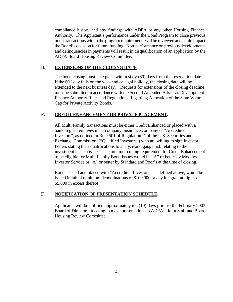compliance history and any findings with ADFA or any other Housing Finance Authority. The Applicant's performance under the Bond Program to close previous bond transactions within the program requirements will be reviewed and could impact the Board's decision for future funding. Non-performance on previous developments and delinquencies in payments will result in disqualification of an application by the ADFA Board Housing Review Committee.

#### **D. EXTENSIONS OF THE CLOISNG DATE.**

The bond closing must take place within sixty (60) days from the reservation date. If the  $60<sup>th</sup>$  day falls on the weekend or legal holiday, the closing date will be extended to the next business day. Requests for extensions of the closing deadline must be submitted in accordance with the Second Amended Arkansas Development Finance Authority Rules and Regulations Regarding Allocation of the State Volume Cap for Private Activity Bonds.

#### **E. CREDIT ENHANCEMENT OR PRIVATE PLACEMENT.**

All Multi Family transactions must be either Credit Enhanced or placed with a bank, registered investment company, insurance company or "Accredited Investors", as defined in Rule 501 of Regulation D of the U.S. Securities and Exchange Commission, ("Qualified Investors") who are willing to sign Investor Letters stating their qualifications to analyze and gauge risk relating to their investment in such issues. The minimum rating requirement for Credit Enhancement to be eligible for Multi Family Bond Issues would be "A" or better by Moodys Investor Service or "A" or better by Standard and Poor's at the time of closing.

Bonds issued and placed with "Accredited Investors," as defined above, would be issued in initial minimum denominations of \$100,000 or any integral multiples of \$5,000 in excess thereof.

#### **F. NOTIFICATION OF PRESENTATION SCHEDULE.**

Applicants will be notified approximately ten (10) days prior to the February 2003 Board of Directors' meeting to make presentations to ADFA's Joint Staff and Board Housing Review Committee.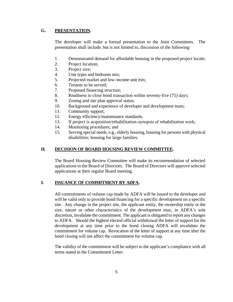#### **G. PRESENTATION.**

The developer will make a formal presentation to the Joint Committees. The presentation shall include, but is not limited to, discussion of the following:

- 1. Demonstrated demand for affordable housing in the proposed project locale;
- 2. Project location;
- 3. Project size;
- 4. Unit types and bedroom mix;
- 5. Projected market and low-income unit mix;
- 6. Tenants to be served;
- 7. Proposed financing structure;
- 8. Readiness to close bond transaction within seventy-five (75) days;
- 9. Zoning and site plan approval status;
- 10. Background and experience of developer and development team;
- 11. Community support;
- 12. Energy efficiency/maintenance standards;
- 13. If project is acquisition/rehabilitation–synopsis of rehabilitation work;
- 14. Monitoring procedures; and
- 15. Serving special needs, e.g., elderly housing, housing for persons with physical disabilities; housing for large families.

#### **H. DECISION OF BOARD HOUSING REVIEW COMMITTEE.**

The Board Housing Review Committee will make its recommendation of selected applications to the Board of Directors. The Board of Directors will approve selected applications at their regular Board meeting.

#### **I. ISSUANCE OF COMMITMENT BY ADFA.**

All commitments of volume cap made by ADFA will be issued to the developer and will be valid only to provide bond financing for a specific development on a specific site. Any change in the project site, the applicant entity, the ownership entity or the size, nature or other characteristics of the development may, in ADFA's sole discretion, invalidate the commitment. The applicant is obligated to report any changes to ADFA. Should the highest elected official withdrawal the letter of support for the development at any time prior to the bond closing ADFA will invalidate the commitment for volume cap. Revocation of the letter of support at any time after the bond closing will not affect the commitment for volume cap.

The validity of the commitment will be subject to the applicant's compliance with all terms stated in the Commitment Letter.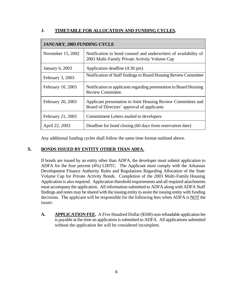#### **J. TIMETABLE FOR ALLOCATION AND FUNDING CYCLES.**

| <b>JANUARY, 2003 FUNDING CYCLE</b> |                                                                                                                   |  |  |  |
|------------------------------------|-------------------------------------------------------------------------------------------------------------------|--|--|--|
| November 15, 2002                  | Notification to bond counsel and underwriters of availability of<br>2003 Multi-Family Private Activity Volume Cap |  |  |  |
| <b>January 6, 2003</b>             | Application deadline (4:30 pm)                                                                                    |  |  |  |
| February 3, 2003                   | Notification of Staff findings to Board Housing Review Committee                                                  |  |  |  |
| February 10, 2003                  | Notification to applicants regarding presentation to Board Housing<br><b>Review Committee.</b>                    |  |  |  |
| February 20, 2003                  | Applicant presentation to Joint Housing Review Committees and<br>Board of Directors' approval of applicants       |  |  |  |
| February 21, 2003                  | Commitment Letters mailed to developers                                                                           |  |  |  |
| April 22, 2003                     | Deadline for bond closing (60 days from reservation date)                                                         |  |  |  |

Any additional funding cycles shall follow the same time format outlined above.

#### **X. BONDS ISSUED BY ENTITY OTHER THAN ADFA.**

If bonds are issued by an entity other than ADFA, the developer must submit application to ADFA for the four percent (4%) LIHTC. The Applicant must comply with the Arkansas Development Finance Authority Rules and Regulations Regarding Allocation of the State Volume Cap for Private Activity Bonds. Completion of the 2003 Multi-Family Housing Application is also required. Application threshold requirements and all required attachments must accompany the application. All information submitted to ADFA along with ADFA Staff findings and notes may be shared with the issuing entity to assist the issuing entity with funding decisions. The applicant will be responsible for the following fees when ADFA is NOT the issuer:

**A. APPLICATION FEE.** A Five Hundred Dollar (\$500) non-refundable application fee is payable at the time an application is submitted to ADFA. All applications submitted without the application fee will be considered incomplete.